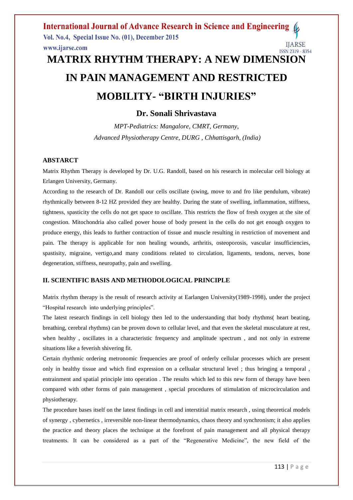# **IN PAIN MANAGEMENT AND RESTRICTED MOBILITY- "BIRTH INJURIES"**

# **Dr. Sonali Shrivastava**

*MPT-Pediatrics: Mangalore, CMRT, Germany, Advanced Physiotherapy Centre, DURG , Chhattisgarh, (India)*

## **ABSTARCT**

Matrix Rhythm Therapy is developed by Dr. U.G. Randoll, based on his research in molecular cell biology at Erlangen University, Germany.

According to the research of Dr. Randoll our cells oscillate (swing, move to and fro like pendulum, vibrate) rhythmically between 8-12 HZ provided they are healthy. During the state of swelling, inflammation, stiffness, tightness, spasticity the cells do not get space to oscillate. This restricts the flow of fresh oxygen at the site of congestion. Mitochondria also called power house of body present in the cells do not get enough oxygen to produce energy, this leads to further contraction of tissue and muscle resulting in restriction of movement and pain. The therapy is applicable for non healing wounds, arthritis, osteoporosis, vascular insufficiencies, spastisity, migraine, vertigo,and many conditions related to circulation, ligaments, tendons, nerves, bone degeneration, stiffness, neuropathy, pain and swelling.

# **II. SCIENTIFIC BASIS AND METHODOLOGICAL PRINCIPLE**

Matrix rhythm therapy is the result of research activity at Earlangen University(1989-1998), under the project "Hospital research into underlying principles".

The latest research findings in cell biology then led to the understanding that body rhythms( heart beating, breathing, cerebral rhythms) can be proven down to cellular level, and that even the skeletal musculature at rest, when healthy , oscillates in a characteristic frequency and amplitude spectrum , and not only in extreme situations like a feverish shivering fit.

Certain rhythmic ordering metronomic frequencies are proof of orderly cellular processes which are present only in healthy tissue and which find expression on a cellualar structural level ; thus bringing a temporal , entrainment and spatial principle into operation . The results which led to this new form of therapy have been compared with other forms of pain management , special procedures of stimulation of microcirculation and physiotherapy.

The procedure bases itself on the latest findings in cell and interstitial matrix research , using theoretical models of synergy , cybernetics , irreversible non-linear thermodynamics, chaos theory and synchronism; it also applies the practice and theory places the technique at the forefront of pain management and all physical therapy treatments. It can be considered as a part of the "Regenerative Medicine", the new field of the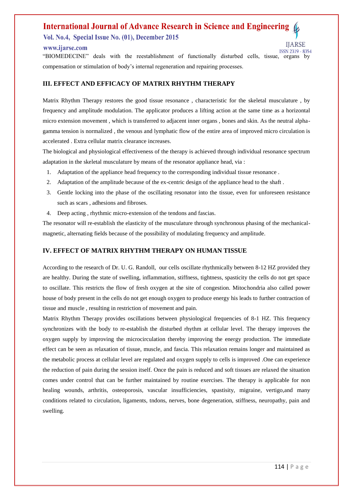# **International Journal of Advance Research in Science and Engineering** Vol. No.4, Special Issue No. (01), December 2015

#### www.ijarse.com

**ISSN 2319 - 8354** "BIOMEDECINE" deals with the reestablishment of functionally disturbed cells, tissue, organs by compensation or stimulation of body"s internal regeneration and repairing processes.

# **III. EFFECT AND EFFICACY OF MATRIX RHYTHM THERAPY**

Matrix Rhythm Therapy restores the good tissue resonance , characteristic for the skeletal musculature , by frequency and amplitude modulation. The applicator produces a lifting action at the same time as a horizontal micro extension movement , which is transferred to adjacent inner organs , bones and skin. As the neutral alphagamma tension is normalized , the venous and lymphatic flow of the entire area of improved micro circulation is accelerated . Extra cellular matrix clearance increases.

The biological and physiological effectiveness of the therapy is achieved through individual resonance spectrum adaptation in the skeletal musculature by means of the resonator appliance head, via :

- 1. Adaptation of the appliance head frequency to the corresponding individual tissue resonance .
- 2. Adaptation of the amplitude because of the ex-centric design of the appliance head to the shaft .
- 3. Gentle locking into the phase of the oscillating resonator into the tissue, even for unforeseen resistance such as scars , adhesions and fibroses.
- 4. Deep acting , rhythmic micro-extension of the tendons and fascias.

The resonator will re-establish the elasticity of the musculature through synchronous phasing of the mechanicalmagnetic, alternating fields because of the possibility of modulating frequency and amplitude.

# **IV. EFFECT OF MATRIX RHYTHM THERAPY ON HUMAN TISSUE**

According to the research of Dr. U. G. Randoll, our cells oscillate rhythmically between 8-12 HZ provided they are healthy. During the state of swelling, inflammation, stiffness, tightness, spasticity the cells do not get space to oscillate. This restricts the flow of fresh oxygen at the site of congestion. Mitochondria also called power house of body present in the cells do not get enough oxygen to produce energy his leads to further contraction of tissue and muscle , resulting in restriction of movement and pain.

Matrix Rhythm Therapy provides oscillations between physiological frequencies of 8-1 HZ. This frequency synchronizes with the body to re-establish the disturbed rhythm at cellular level. The therapy improves the oxygen supply by improving the microcirculation thereby improving the energy production. The immediate effect can be seen as relaxation of tissue, muscle, and fascia. This relaxation remains longer and maintained as the metabolic process at cellular level are regulated and oxygen supply to cells is improved .One can experience the reduction of pain during the session itself. Once the pain is reduced and soft tissues are relaxed the situation comes under control that can be further maintained by routine exercises. The therapy is applicable for non healing wounds, arthritis, osteoporosis, vascular insufficiencies, spastisity, migraine, vertigo,and many conditions related to circulation, ligaments, tndons, nerves, bone degeneration, stiffness, neuropathy, pain and swelling.

**IIARSE**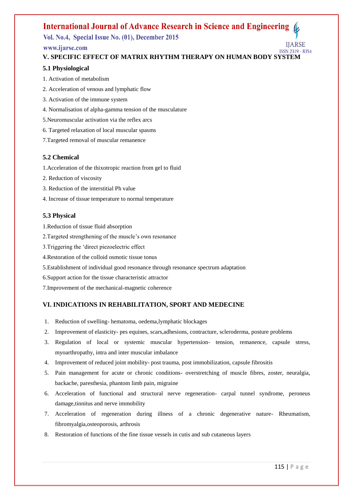# Vol. No.4, Special Issue No. (01), December 2015

# www.ijarse.com

**ISSN 2319 - 8354 V. SPECIFIC EFFECT OF MATRIX RHYTHM THERAPY ON HUMAN BODY SYSTEM**

# **5.1 Physiological**

- 1. Activation of metabolism
- 2. Acceleration of venous and lymphatic flow
- 3. Activation of the immune system
- 4. Normalisation of alpha-gamma tension of the musculature
- 5.Neuromuscular activation via the reflex arcs
- 6. Targeted relaxation of local muscular spasms
- 7.Targeted removal of muscular remanence

# **5.2 Chemical**

1.Acceleration of the thixotropic reaction from gel to fluid

- 2. Reduction of viscosity
- 3. Reduction of the interstitial Ph value
- 4. Increase of tissue temperature to normal temperature

# **5.3 Physical**

1.Reduction of tissue fluid absorption

- 2.Targeted strengthening of the muscle"s own resonance
- 3.Triggering the "direct piezoelectric effect
- 4.Restoration of the colloid osmotic tissue tonus
- 5.Establishment of individual good resonance through resonance spectrum adaptation
- 6.Support action for the tissue characteristic attractor
- 7.Improvement of the mechanical-magnetic coherence

# **VI. INDICATIONS IN REHABILITATION, SPORT AND MEDECINE**

- 1. Reduction of swelling- hematoma, oedema,lymphatic blockages
- 2. Improvement of elasticity- pes equines, scars,adhesions, contracture, scleroderma, posture problems
- 3. Regulation of local or systemic muscular hypertension- tension, remanence, capsule stress, myoarthropathy, intra and inter muscular imbalance
- 4. Improvement of reduced joint mobility- post trauma, post immobilization, capsule fibrositis
- 5. Pain management for acute or chronic conditions- overstretching of muscle fibres, zoster, neuralgia, backache, paresthesia, phantom limb pain, migraine
- 6. Acceleration of functional and structural nerve regeneration- carpal tunnel syndrome, peroneus damage,tinnitus and nerve immobility
- 7. Acceleration of regeneration during illness of a chronic degenerative nature- Rheumatism, fibromyalgia,osteoporosis, arthrosis
- 8. Restoration of functions of the fine tissue vessels in cutis and sub cutaneous layers

**IIARSE**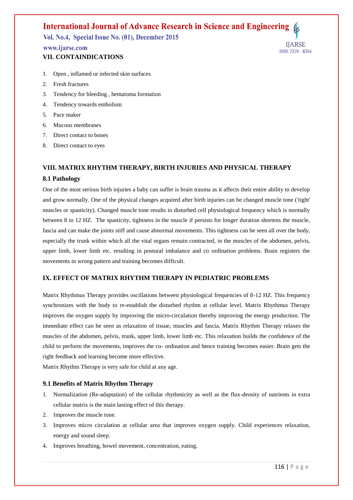Vol. No.4, Special Issue No. (01), December 2015

## www.ijarse.com **VII. CONTAINDICATIONS**

**IJARSE ISSN 2319 - 8354** 

- 1. Open , inflamed or infected skin surfaces
- 2. Fresh fractures
- 3. Tendency for bleeding , hematoma formation
- 4. Tendency towards embolism
- 5. Pace maker
- 6. Mucous membranes
- 7. Direct contact to bones
- 8. Direct contact to eyes

# **VIII. MATRIX RHYTHM THERAPY, BIRTH INJURIES AND PHYSICAL THERAPY**

#### **8.1 Pathology**

One of the most serious birth injuries a baby can suffer is brain trauma as it affects their entire ability to develop and grow normally. One of the physical changes acquired after birth injuries can be changed muscle tone ('tight' muscles or spasticity). Changed muscle tone results in disturbed cell physiological frequency which is normally between 8 to 12 HZ. The spasticity, tightness in the muscle if persists for longer duration shortens the muscle, fascia and can make the joints stiff and cause abnormal movements. This tightness can be seen all over the body, especially the trunk within which all the vital organs remain contracted, in the muscles of the abdomen, pelvis, upper limb, lower limb etc. resulting in postural imbalance and co ordination problems. Brain registers the movements in wrong pattern and training becomes difficult.

## **IX. EFFECT OF MATRIX RHYTHM THERAPY IN PEDIATRIC PROBLEMS**

Matrix Rhythmus Therapy provides oscillations between physiological frequencies of 8-12 HZ. This frequency synchronizes with the body to re-establish the disturbed rhythm at cellular level. Matrix Rhythmus Therapy improves the oxygen supply by improving the micro-circulation thereby improving the energy production. The immediate effect can be seen as relaxation of tissue, muscles and fascia. Matrix Rhythm Therapy relaxes the muscles of the abdomen, pelvis, trunk, upper limb, lower limb etc. This relaxation builds the confidence of the child to perform the movements, improves the co- ordination and hence training becomes easier. Brain gets the right feedback and learning become more effective.

Matrix Rhythm Therapy is very safe for child at any age.

## **9.1 Benefits of Matrix Rhythm Therapy**

- 1. Normalization (Re-adaptation) of the cellular rhythmicity as well as the flux-density of nutrients in extra cellular matrix is the main lasting effect of this therapy.
- 2. Improves the muscle tone.
- 3. Improves micro circulation at cellular area that improves oxygen supply. Child experiences relaxation, energy and sound sleep.
- 4. Improves breathing, bowel movement, concentration, eating.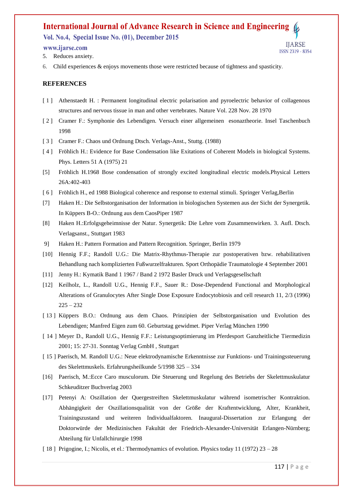Vol. No.4, Special Issue No. (01), December 2015

#### www.ijarse.com

- 5. Reduces anxiety.
- 6. Child experiences & enjoys movements those were restricted because of tightness and spasticity.

#### **REFERENCES**

- [1] Athenstaedt H. : Permanent longitudinal electric polarisation and pyroelectric behavior of collagenous structures and nervous tissue in man and other vertebrates. Nature Vol. 228 Nov. 28 1970
- [ 2 ] Cramer F.: Symphonie des Lebendigen. Versuch einer allgemeinen esonaztheorie. Insel Taschenbuch 1998
- [ 3 ] Cramer F.: Chaos und Ordnung Dtsch. Verlags-Anst., Stuttg. (1988)
- [ 4 ] Fröhlich H.: Evidence for Base Condensation like Exitations of Coherent Models in biological Systems. Phys. Letters 51 A (1975) 21
- [5] Fröhlich H.1968 Bose condensation of strongly excited longitudinal electric models.Physical Letters 26A:402-403
- [6] Fröhlich H., ed 1988 Biological coherence and response to external stimuli. Springer Verlag, Berlin
- [7] Haken H.: Die Selbstorganisation der Information in biologischen Systemen aus der Sicht der Synergetik. In Küppers B-O.: Ordnung aus dem CaosPiper 1987
- [8] Haken H.:Erfolgsgeheimnisse der Natur. Synergetik: Die Lehre vom Zusammenwirken. 3. Aufl. Dtsch. Verlagsanst., Stuttgart 1983
- 9] Haken H.: Pattern Formation and Pattern Recognition. Springer, Berlin 1979
- [10] Hennig F.F.; Randoll U.G.: Die Matrix-Rhythmus-Therapie zur postoperativen bzw. rehabilitativen Behandlung nach komplizierten Fußwurzelfrakturen. Sport Orthopädie Traumatologie 4 September 2001
- [11] Jenny H.: Kymatik Band 1 1967 / Band 2 1972 Basler Druck und Verlagsgesellschaft
- [12] Keilholz, L., Randoll U.G., Hennig F.F., Sauer R.: Dose-Dependend Functional and Morphological Alterations of Granulocytes After Single Dose Exposure Endocytobiosis and cell research 11, 2/3 (1996)  $225 - 232$
- [ 13 ] Küppers B.O.: Ordnung aus dem Chaos. Prinzipien der Selbstorganisation und Evolution des Lebendigen; Manfred Eigen zum 60. Geburtstag gewidmet. Piper Verlag München 1990
- [ 14 ] Meyer D., Randoll U.G., Hennig F.F.: Leistungsoptimierung im Pferdesport Ganzheitliche Tiermedizin 2001; 15: 27-31. Sonntag Verlag GmbH , Stuttgart
- [ 15 ] Paerisch, M. Randoll U.G.: Neue elektrodynamische Erkenntnisse zur Funktions- und Trainingssteuerung des Skelettmuskels. Erfahrungsheilkunde 5/1998 325 – 334
- [16] Paerisch, M.:Ecce Caro musculorum. Die Steuerung und Regelung des Betriebs der Skelettmuskulatur Schkeuditzer Buchverlag 2003
- [17] Petenyi A: Oszillation der Quergestreiften Skelettmuskulatur während isometrischer Kontraktion. Abhängigkeit der Oszillationsqualität von der Größe der Kraftentwicklung, Alter, Krankheit, Trainingszustand und weiteren Individualfaktoren. Inaugural-Dissertation zur Erlangung der Doktorwürde der Medizinischen Fakultät der Friedrich-Alexander-Universität Erlangen-Nürnberg; Abteilung für Unfallchirurgie 1998
- [ 18 ] Prigogine, I.; Nicolis, et el.: Thermodynamics of evolution. Physics today 11 (1972) 23 28

**IIARSE** 

**ISSN 2319 - 8354**